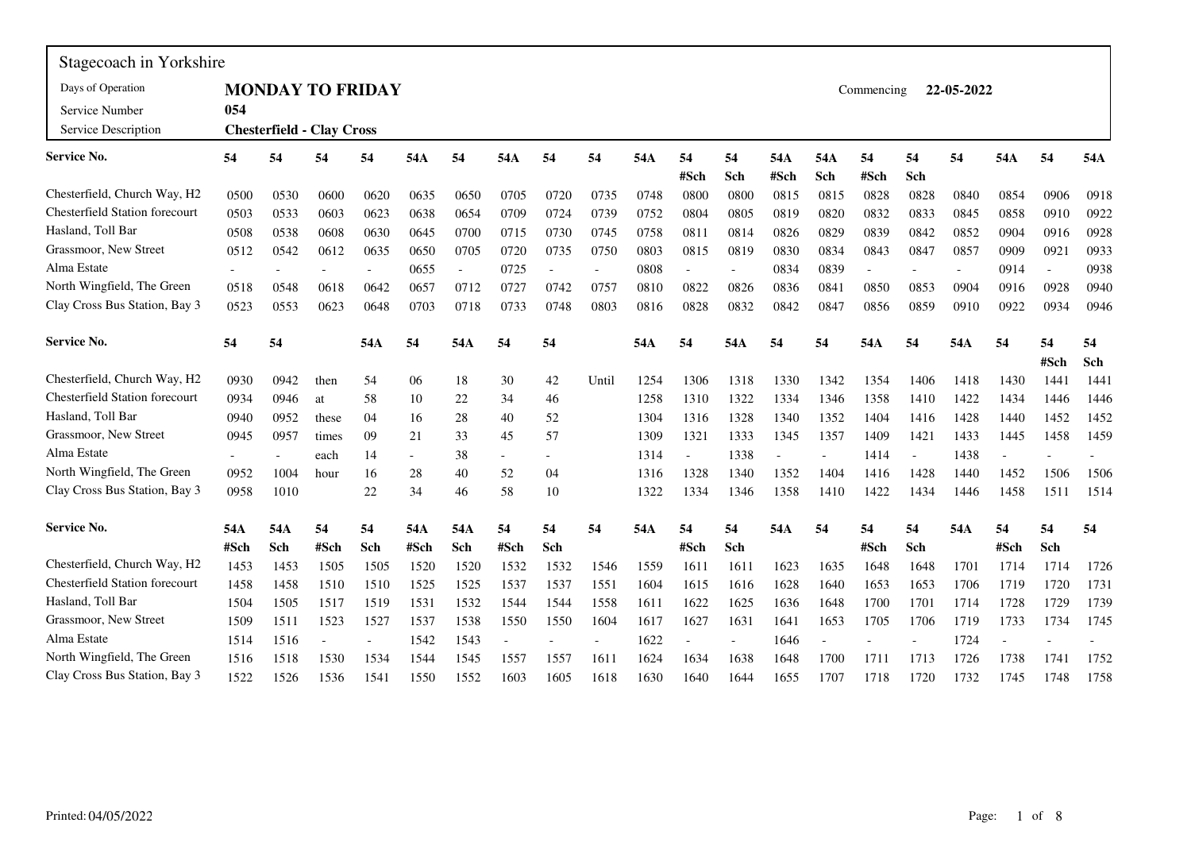| Stagecoach in Yorkshire                  |      |      |                                  |                          |                          |        |                          |                          |                          |      |                          |                          |      |                          |            |      |                          |      |                          |      |
|------------------------------------------|------|------|----------------------------------|--------------------------|--------------------------|--------|--------------------------|--------------------------|--------------------------|------|--------------------------|--------------------------|------|--------------------------|------------|------|--------------------------|------|--------------------------|------|
| Days of Operation                        |      |      |                                  | <b>MONDAY TO FRIDAY</b>  |                          |        |                          |                          |                          |      |                          |                          |      |                          | Commencing |      | 22-05-2022               |      |                          |      |
| Service Number                           | 054  |      |                                  |                          |                          |        |                          |                          |                          |      |                          |                          |      |                          |            |      |                          |      |                          |      |
| Service Description                      |      |      | <b>Chesterfield - Clay Cross</b> |                          |                          |        |                          |                          |                          |      |                          |                          |      |                          |            |      |                          |      |                          |      |
| Service No.                              | 54   | 54   | 54                               | 54                       | 54A                      | 54     | 54A                      | 54                       | 54                       | 54A  | 54                       | 54                       | 54A  | 54A                      | 54         | 54   | 54                       | 54A  | 54                       | 54A  |
|                                          |      |      |                                  |                          |                          |        |                          |                          |                          |      | #Sch                     | Sch                      | #Sch | Sch                      | #Sch       | Sch  |                          |      |                          |      |
| Chesterfield, Church Way, H2             | 0500 | 0530 | 0600                             | 0620                     | 0635                     | 0650   | 0705                     | 0720                     | 0735                     | 0748 | 0800                     | 0800                     | 0815 | 0815                     | 0828       | 0828 | 0840                     | 0854 | 0906                     | 0918 |
| <b>Chesterfield Station forecourt</b>    | 0503 | 0533 | 0603                             | 0623                     | 0638                     | 0654   | 0709                     | 0724                     | 0739                     | 0752 | 0804                     | 0805                     | 0819 | 0820                     | 0832       | 0833 | 0845                     | 0858 | 0910                     | 0922 |
| Hasland, Toll Bar                        | 0508 | 0538 | 0608                             | 0630                     | 0645                     | 0700   | 0715                     | 0730                     | 0745                     | 0758 | 0811                     | 0814                     | 0826 | 0829                     | 0839       | 0842 | 0852                     | 0904 | 0916                     | 0928 |
| Grassmoor, New Street                    | 0512 | 0542 | 0612                             | 0635                     | 0650                     | 0705   | 0720                     | 0735                     | 0750                     | 0803 | 0815                     | 0819                     | 0830 | 0834                     | 0843       | 0847 | 0857                     | 0909 | 0921                     | 0933 |
| Alma Estate                              |      |      |                                  | $\overline{\phantom{a}}$ | 0655                     | $\sim$ | 0725                     | $\overline{\phantom{a}}$ | $\overline{\phantom{a}}$ | 0808 | $\overline{\phantom{a}}$ | $\overline{\phantom{a}}$ | 0834 | 0839                     |            |      | $\overline{\phantom{a}}$ | 0914 | $\overline{\phantom{a}}$ | 0938 |
| North Wingfield, The Green               | 0518 | 0548 | 0618                             | 0642                     | 0657                     | 0712   | 0727                     | 0742                     | 0757                     | 0810 | 0822                     | 0826                     | 0836 | 0841                     | 0850       | 0853 | 0904                     | 0916 | 0928                     | 0940 |
| Clay Cross Bus Station, Bay 3            | 0523 | 0553 | 0623                             | 0648                     | 0703                     | 0718   | 0733                     | 0748                     | 0803                     | 0816 | 0828                     | 0832                     | 0842 | 0847                     | 0856       | 0859 | 0910                     | 0922 | 0934                     | 0946 |
| <b>Service No.</b>                       | 54   | 54   |                                  | 54A                      | 54                       | 54A    | 54                       | 54                       |                          | 54A  | 54                       | 54A                      | 54   | 54                       | 54A        | 54   | 54A                      | 54   | 54                       | 54   |
|                                          |      |      |                                  |                          |                          |        |                          |                          |                          |      |                          |                          |      |                          |            |      |                          |      | #Sch                     | Sch  |
| Chesterfield, Church Way, H <sub>2</sub> | 0930 | 0942 | then                             | 54                       | 06                       | 18     | 30                       | 42                       | Until                    | 1254 | 1306                     | 1318                     | 1330 | 1342                     | 1354       | 1406 | 1418                     | 1430 | 1441                     | 1441 |
| <b>Chesterfield Station forecourt</b>    | 0934 | 0946 | at                               | 58                       | 10                       | 22     | 34                       | 46                       |                          | 1258 | 1310                     | 1322                     | 1334 | 1346                     | 1358       | 1410 | 1422                     | 1434 | 1446                     | 1446 |
| Hasland, Toll Bar                        | 0940 | 0952 | these                            | 04                       | 16                       | 28     | 40                       | 52                       |                          | 1304 | 1316                     | 1328                     | 1340 | 1352                     | 1404       | 1416 | 1428                     | 1440 | 1452                     | 1452 |
| Grassmoor, New Street                    | 0945 | 0957 | times                            | 09                       | 21                       | 33     | 45                       | 57                       |                          | 1309 | 1321                     | 1333                     | 1345 | 1357                     | 1409       | 1421 | 1433                     | 1445 | 1458                     | 1459 |
| Alma Estate                              |      |      | each                             | 14                       | $\overline{\phantom{a}}$ | 38     | $\overline{\phantom{a}}$ |                          |                          | 1314 | $\overline{\phantom{a}}$ | 1338                     |      | $\overline{\phantom{a}}$ | 1414       |      | 1438                     |      |                          |      |
| North Wingfield, The Green               | 0952 | 1004 | hour                             | 16                       | 28                       | 40     | 52                       | 04                       |                          | 1316 | 1328                     | 1340                     | 1352 | 1404                     | 1416       | 1428 | 1440                     | 1452 | 1506                     | 1506 |
| Clay Cross Bus Station, Bay 3            | 0958 | 1010 |                                  | 22                       | 34                       | 46     | 58                       | 10                       |                          | 1322 | 1334                     | 1346                     | 1358 | 1410                     | 1422       | 1434 | 1446                     | 1458 | 1511                     | 1514 |
| <b>Service No.</b>                       | 54A  | 54A  | 54                               | 54                       | 54A                      | 54A    | 54                       | 54                       | 54                       | 54A  | 54                       | 54                       | 54A  | 54                       | 54         | 54   | 54A                      | 54   | 54                       | 54   |
|                                          | #Sch | Sch  | #Sch                             | Sch                      | #Sch                     | Sch    | #Sch                     | Sch                      |                          |      | #Sch                     | Sch                      |      |                          | #Sch       | Sch  |                          | #Sch | Sch                      |      |
| Chesterfield, Church Way, H2             | 1453 | 1453 | 1505                             | 1505                     | 1520                     | 1520   | 1532                     | 1532                     | 1546                     | 1559 | 1611                     | 1611                     | 1623 | 1635                     | 1648       | 1648 | 1701                     | 1714 | 1714                     | 1726 |
| <b>Chesterfield Station forecourt</b>    | 1458 | 1458 | 1510                             | 1510                     | 1525                     | 1525   | 1537                     | 1537                     | 1551                     | 1604 | 1615                     | 1616                     | 1628 | 1640                     | 1653       | 1653 | 1706                     | 1719 | 1720                     | 1731 |
| Hasland, Toll Bar                        | 1504 | 1505 | 1517                             | 1519                     | 1531                     | 1532   | 1544                     | 1544                     | 1558                     | 1611 | 1622                     | 1625                     | 1636 | 1648                     | 1700       | 1701 | 1714                     | 1728 | 1729                     | 1739 |
| Grassmoor, New Street                    | 1509 | 1511 | 1523                             | 1527                     | 1537                     | 1538   | 1550                     | 1550                     | 1604                     | 1617 | 1627                     | 1631                     | 1641 | 1653                     | 1705       | 1706 | 1719                     | 1733 | 1734                     | 1745 |
| Alma Estate                              | 1514 | 1516 |                                  |                          | 1542                     | 1543   |                          |                          |                          | 1622 |                          | $\overline{\phantom{a}}$ | 1646 |                          |            |      | 1724                     |      | $\overline{a}$           |      |
| North Wingfield, The Green               | 1516 | 1518 | 1530                             | 1534                     | 1544                     | 1545   | 1557                     | 1557                     | 1611                     | 1624 | 1634                     | 1638                     | 1648 | 1700                     | 1711       | 1713 | 1726                     | 1738 | 1741                     | 1752 |
| Clay Cross Bus Station, Bay 3            | 1522 | 1526 | 1536                             | 1541                     | 1550                     | 1552   | 1603                     | 1605                     | 1618                     | 1630 | 1640                     | 1644                     | 1655 | 1707                     | 1718       | 1720 | 1732                     | 1745 | 1748                     | 1758 |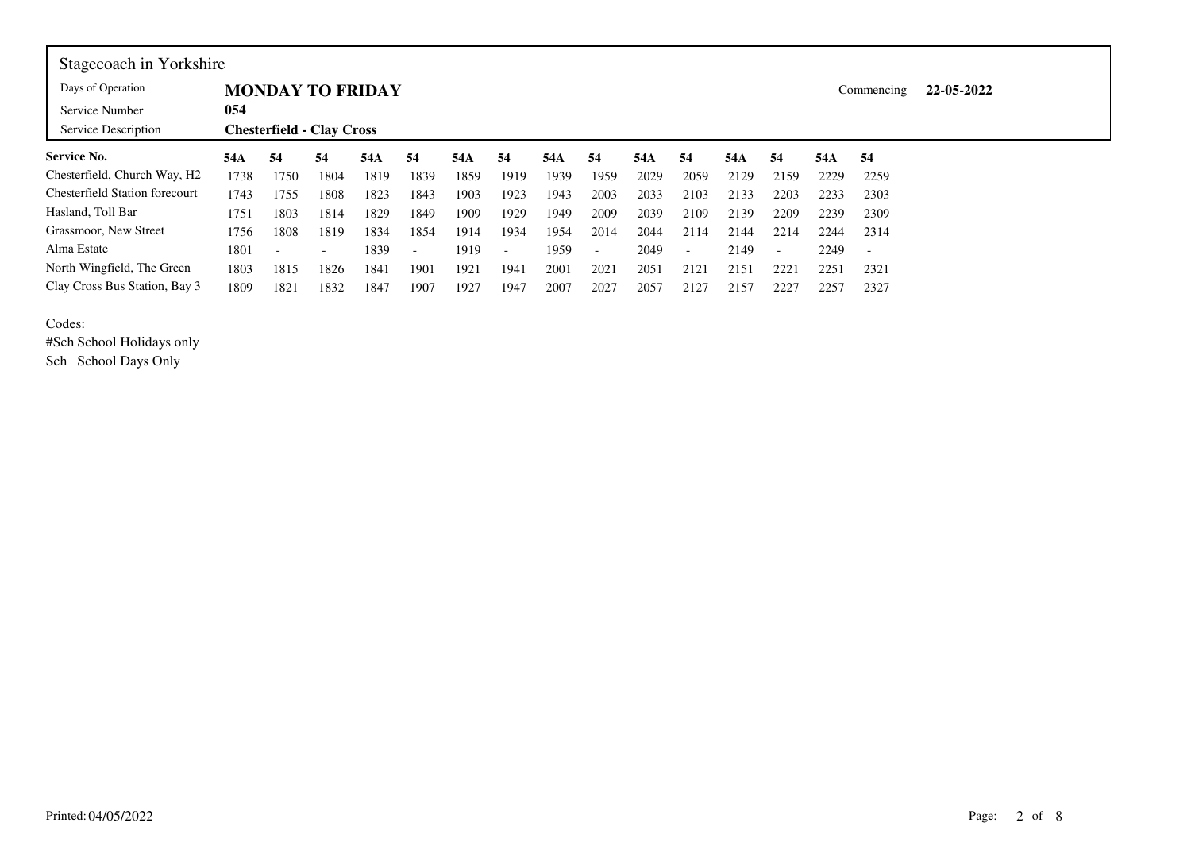| Stagecoach in Yorkshire                  |      |                                  |                          |      |                          |      |                          |      |                          |      |                          |      |                          |      |                          |            |  |  |
|------------------------------------------|------|----------------------------------|--------------------------|------|--------------------------|------|--------------------------|------|--------------------------|------|--------------------------|------|--------------------------|------|--------------------------|------------|--|--|
| Days of Operation                        |      |                                  | <b>MONDAY TO FRIDAY</b>  |      |                          |      |                          |      |                          |      |                          |      |                          |      | Commencing               | 22-05-2022 |  |  |
| Service Number                           | 054  |                                  |                          |      |                          |      |                          |      |                          |      |                          |      |                          |      |                          |            |  |  |
| Service Description                      |      | <b>Chesterfield - Clay Cross</b> |                          |      |                          |      |                          |      |                          |      |                          |      |                          |      |                          |            |  |  |
| <b>Service No.</b>                       | 54A  | 54                               | 54                       | 54A  | 54                       | 54A  | -54                      | 54A  | 54                       | 54A  | 54                       | 54A  | 54                       | 54A  | -54                      |            |  |  |
| Chesterfield, Church Way, H <sub>2</sub> | 1738 | 1750                             | 1804                     | 1819 | 1839                     | 1859 | 1919                     | 1939 | 1959                     | 2029 | 2059                     | 2129 | 2159                     | 2229 | 2259                     |            |  |  |
| <b>Chesterfield Station forecourt</b>    | 1743 | 1755                             | 1808                     | 1823 | 1843                     | 1903 | 1923                     | 1943 | 2003                     | 2033 | 2103                     | 2133 | 2203                     | 2233 | 2303                     |            |  |  |
| Hasland, Toll Bar                        | 1751 | 1803                             | 1814                     | 1829 | 1849                     | 1909 | 1929                     | 1949 | 2009                     | 2039 | 2109                     | 2139 | 2209                     | 2239 | 2309                     |            |  |  |
| Grassmoor, New Street                    | 1756 | 1808                             | 1819                     | 1834 | 1854                     | 1914 | 1934                     | 1954 | 2014                     | 2044 | 2114                     | 2144 | 2214                     | 2244 | 2314                     |            |  |  |
| Alma Estate                              | 1801 | $\sim$                           | $\overline{\phantom{a}}$ | 1839 | $\overline{\phantom{a}}$ | 1919 | $\overline{\phantom{a}}$ | 1959 | $\overline{\phantom{0}}$ | 2049 | $\overline{\phantom{a}}$ | 2149 | $\overline{\phantom{a}}$ | 2249 | $\overline{\phantom{a}}$ |            |  |  |
| North Wingfield, The Green               | 1803 | 1815                             | 1826                     | 1841 | 1901                     | 1921 | 1941                     | 2001 | 2021                     | 2051 | 2121                     | 2151 | 2221                     | 2251 | 2321                     |            |  |  |
| Clay Cross Bus Station, Bay 3            | 1809 | 1821                             | 1832                     | 1847 | 1907                     | 1927 | 1947                     | 2007 | 2027                     | 2057 | 2127                     | 2157 | 2227                     | 2257 | 2327                     |            |  |  |

Codes:

 #Sch School Holidays onlySch School Days Only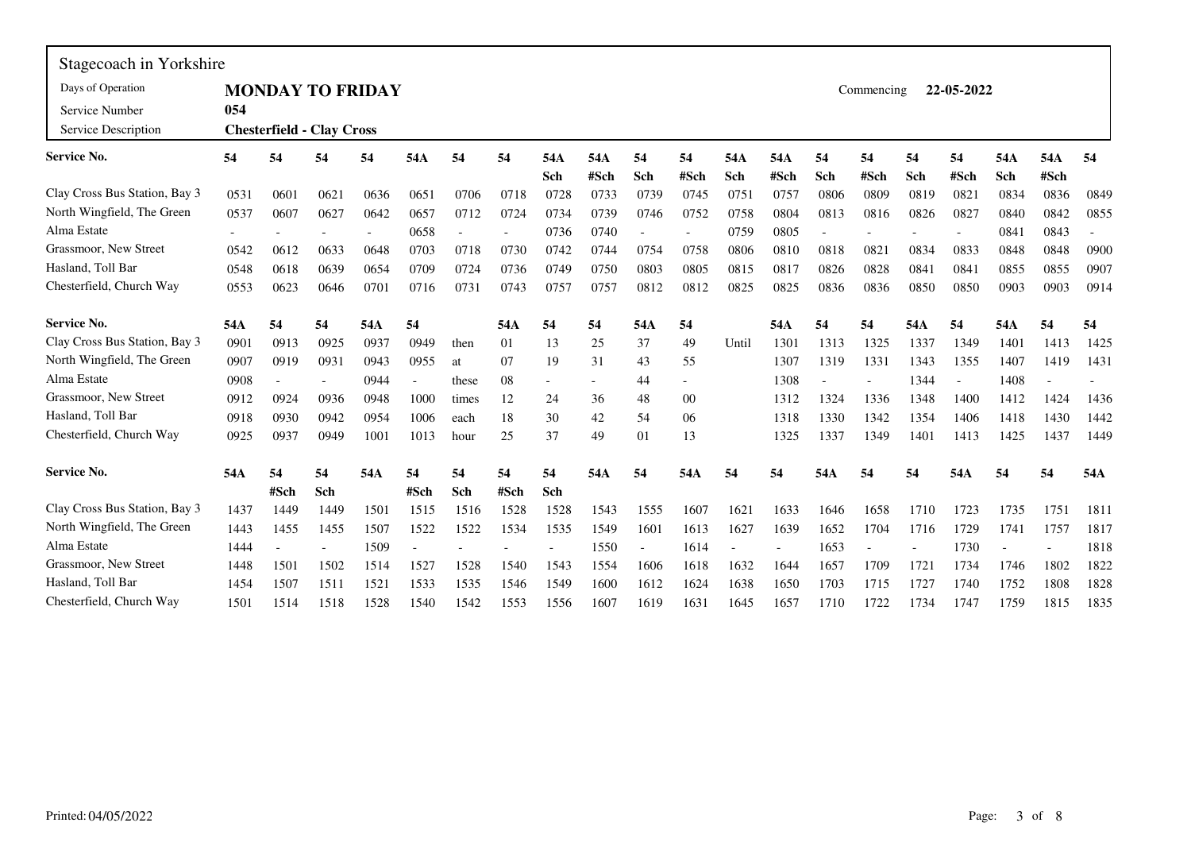| Stagecoach in Yorkshire       |      |                                  |      |      |                |       |      |            |             |           |            |            |             |           |            |           |                          |            |             |      |
|-------------------------------|------|----------------------------------|------|------|----------------|-------|------|------------|-------------|-----------|------------|------------|-------------|-----------|------------|-----------|--------------------------|------------|-------------|------|
| Days of Operation             |      | <b>MONDAY TO FRIDAY</b>          |      |      |                |       |      |            |             |           |            |            |             |           | Commencing |           | 22-05-2022               |            |             |      |
| Service Number                | 054  |                                  |      |      |                |       |      |            |             |           |            |            |             |           |            |           |                          |            |             |      |
| Service Description           |      | <b>Chesterfield - Clay Cross</b> |      |      |                |       |      |            |             |           |            |            |             |           |            |           |                          |            |             |      |
| <b>Service No.</b>            | 54   | 54                               | 54   | 54   | 54A            | 54    | 54   | 54A<br>Sch | 54A<br>#Sch | 54<br>Sch | 54<br>#Sch | 54A<br>Sch | 54A<br>#Sch | 54<br>Sch | 54<br>#Sch | 54<br>Sch | 54<br>#Sch               | 54A<br>Sch | 54A<br>#Sch | 54   |
| Clay Cross Bus Station, Bay 3 | 0531 | 0601                             | 0621 | 0636 | 0651           | 0706  | 0718 | 0728       | 0733        | 0739      | 0745       | 0751       | 0757        | 0806      | 0809       | 0819      | 0821                     | 0834       | 0836        | 0849 |
| North Wingfield, The Green    | 0537 | 0607                             | 0627 | 0642 | 0657           | 0712  | 0724 | 0734       | 0739        | 0746      | 0752       | 0758       | 0804        | 0813      | 0816       | 0826      | 0827                     | 0840       | 0842        | 0855 |
| Alma Estate                   |      |                                  |      |      | 0658           |       |      | 0736       | 0740        |           |            | 0759       | 0805        |           |            |           |                          | 0841       | 0843        |      |
| Grassmoor, New Street         | 0542 | 0612                             | 0633 | 0648 | 0703           | 0718  | 0730 | 0742       | 0744        | 0754      | 0758       | 0806       | 0810        | 0818      | 0821       | 0834      | 0833                     | 0848       | 0848        | 0900 |
| Hasland, Toll Bar             | 0548 | 0618                             | 0639 | 0654 | 0709           | 0724  | 0736 | 0749       | 0750        | 0803      | 0805       | 0815       | 0817        | 0826      | 0828       | 0841      | 0841                     | 0855       | 0855        | 0907 |
| Chesterfield, Church Way      | 0553 | 0623                             | 0646 | 0701 | 0716           | 0731  | 0743 | 0757       | 0757        | 0812      | 0812       | 0825       | 0825        | 0836      | 0836       | 0850      | 0850                     | 0903       | 0903        | 0914 |
| <b>Service No.</b>            | 54A  | 54                               | 54   | 54A  | 54             |       | 54A  | 54         | 54          | 54A       | 54         |            | 54A         | 54        | 54         | 54A       | 54                       | 54A        | 54          | 54   |
| Clay Cross Bus Station, Bay 3 | 0901 | 0913                             | 0925 | 0937 | 0949           | then  | 01   | 13         | 25          | 37        | 49         | Until      | 1301        | 1313      | 1325       | 1337      | 1349                     | 1401       | 1413        | 1425 |
| North Wingfield, The Green    | 0907 | 0919                             | 0931 | 0943 | 0955           | at    | 07   | 19         | 31          | 43        | 55         |            | 1307        | 1319      | 1331       | 1343      | 1355                     | 1407       | 1419        | 1431 |
| Alma Estate                   | 0908 |                                  |      | 0944 | $\blacksquare$ | these | 08   |            |             | 44        |            |            | 1308        |           |            | 1344      | $\overline{\phantom{a}}$ | 1408       |             |      |
| Grassmoor, New Street         | 0912 | 0924                             | 0936 | 0948 | 1000           | times | 12   | 24         | 36          | 48        | 00         |            | 1312        | 1324      | 1336       | 1348      | 1400                     | 1412       | 1424        | 1436 |
| Hasland, Toll Bar             | 0918 | 0930                             | 0942 | 0954 | 1006           | each  | 18   | 30         | 42          | 54        | 06         |            | 1318        | 1330      | 1342       | 1354      | 1406                     | 1418       | 1430        | 1442 |
| Chesterfield, Church Way      | 0925 | 0937                             | 0949 | 1001 | 1013           | hour  | 25   | 37         | 49          | 01        | 13         |            | 1325        | 1337      | 1349       | 1401      | 1413                     | 1425       | 1437        | 1449 |
| <b>Service No.</b>            | 54A  | 54                               | 54   | 54A  | 54             | 54    | 54   | 54         | 54A         | 54        | 54A        | 54         | 54          | 54A       | 54         | 54        | 54A                      | 54         | 54          | 54A  |
|                               |      | #Sch                             | Sch  |      | #Sch           | Sch   | #Sch | Sch        |             |           |            |            |             |           |            |           |                          |            |             |      |
| Clay Cross Bus Station, Bay 3 | 1437 | 1449                             | 1449 | 1501 | 1515           | 1516  | 1528 | 1528       | 1543        | 1555      | 1607       | 1621       | 1633        | 1646      | 1658       | 1710      | 1723                     | 1735       | 1751        | 1811 |
| North Wingfield, The Green    | 1443 | 1455                             | 1455 | 1507 | 1522           | 1522  | 1534 | 1535       | 1549        | 1601      | 1613       | 1627       | 1639        | 1652      | 1704       | 1716      | 1729                     | 1741       | 1757        | 1817 |
| Alma Estate                   | 1444 |                                  |      | 1509 |                |       |      |            | 1550        |           | 1614       |            |             | 1653      |            |           | 1730                     |            |             | 1818 |
| Grassmoor, New Street         | 1448 | 1501                             | 1502 | 1514 | 1527           | 1528  | 1540 | 1543       | 1554        | 1606      | 1618       | 1632       | 1644        | 1657      | 1709       | 1721      | 1734                     | 1746       | 1802        | 1822 |
| Hasland, Toll Bar             | 1454 | 1507                             | 1511 | 1521 | 1533           | 1535  | 1546 | 1549       | 1600        | 1612      | 1624       | 1638       | 1650        | 1703      | 1715       | 1727      | 1740                     | 1752       | 1808        | 1828 |
| Chesterfield, Church Way      | 1501 | 1514                             | 1518 | 1528 | 1540           | 1542  | 1553 | 1556       | 1607        | 1619      | 1631       | 1645       | 1657        | 1710      | 1722       | 1734      | 1747                     | 1759       | 1815        | 1835 |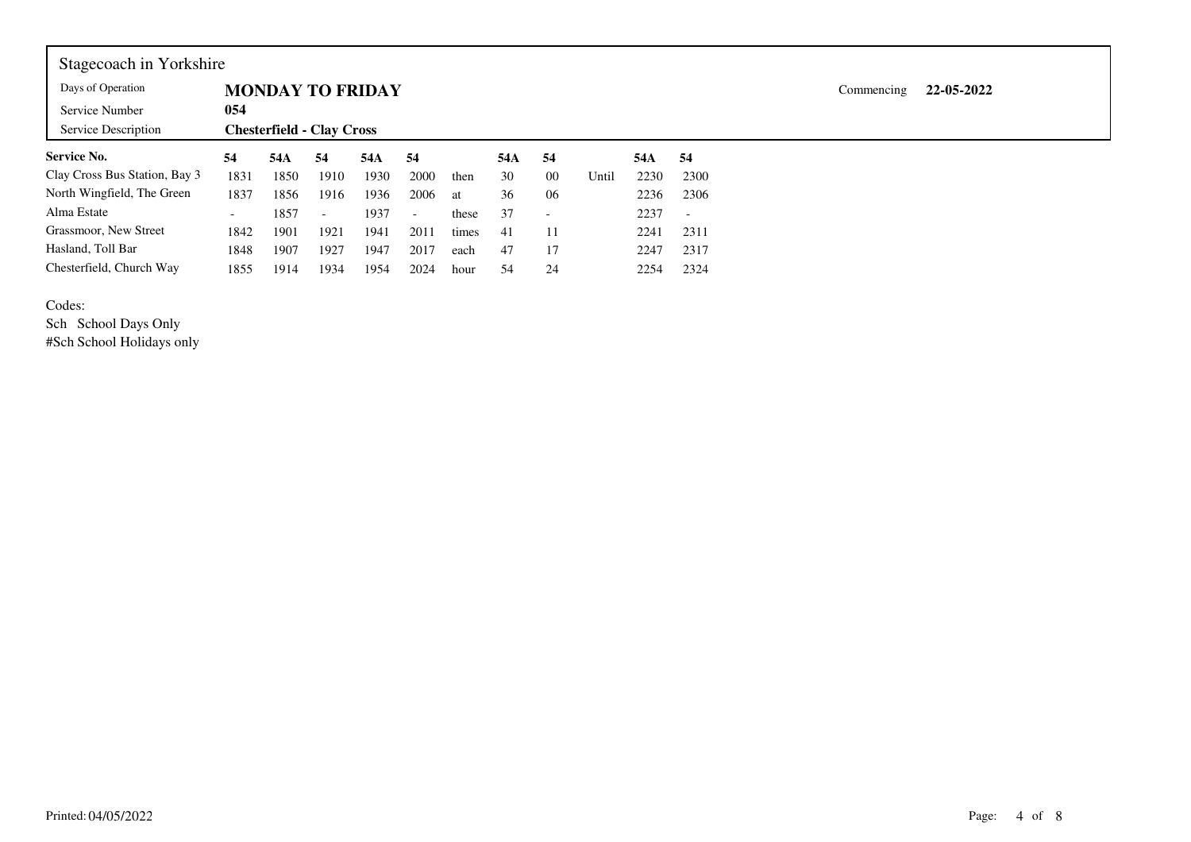| Stagecoach in Yorkshire       |                          |                                  |                          |      |                          |       |     |                          |       |      |                          |  |            |            |  |
|-------------------------------|--------------------------|----------------------------------|--------------------------|------|--------------------------|-------|-----|--------------------------|-------|------|--------------------------|--|------------|------------|--|
| Days of Operation             |                          | <b>MONDAY TO FRIDAY</b>          |                          |      |                          |       |     |                          |       |      |                          |  | Commencing | 22-05-2022 |  |
| Service Number                | 054                      |                                  |                          |      |                          |       |     |                          |       |      |                          |  |            |            |  |
| Service Description           |                          | <b>Chesterfield - Clay Cross</b> |                          |      |                          |       |     |                          |       |      |                          |  |            |            |  |
| <b>Service No.</b>            | 54                       | 54A                              | 54                       | 54A  | 54                       |       | 54A | 54                       |       | 54A  | 54                       |  |            |            |  |
| Clay Cross Bus Station, Bay 3 | 1831                     | 1850                             | 1910                     | 1930 | 2000                     | then  | 30  | 00                       | Until | 2230 | 2300                     |  |            |            |  |
| North Wingfield, The Green    | 1837                     | 1856                             | 1916                     | 1936 | 2006                     | at    | 36  | 06                       |       | 2236 | 2306                     |  |            |            |  |
| Alma Estate                   | $\overline{\phantom{0}}$ | 1857                             | $\overline{\phantom{0}}$ | 1937 | $\overline{\phantom{a}}$ | these | 37  | $\overline{\phantom{0}}$ |       | 2237 | $\overline{\phantom{a}}$ |  |            |            |  |
| Grassmoor, New Street         | 1842                     | 1901                             | 1921                     | 1941 | 2011                     | times | 41  | 11                       |       | 2241 | 2311                     |  |            |            |  |
| Hasland, Toll Bar             | 1848                     | 1907                             | 1927                     | 1947 | 2017                     | each  | 47  | 17                       |       | 2247 | 2317                     |  |            |            |  |
| Chesterfield, Church Way      | 1855                     | 1914                             | 1934                     | 1954 | 2024                     | hour  | 54  | 24                       |       | 2254 | 2324                     |  |            |            |  |

## Codes:

Sch School Days Only #Sch School Holidays only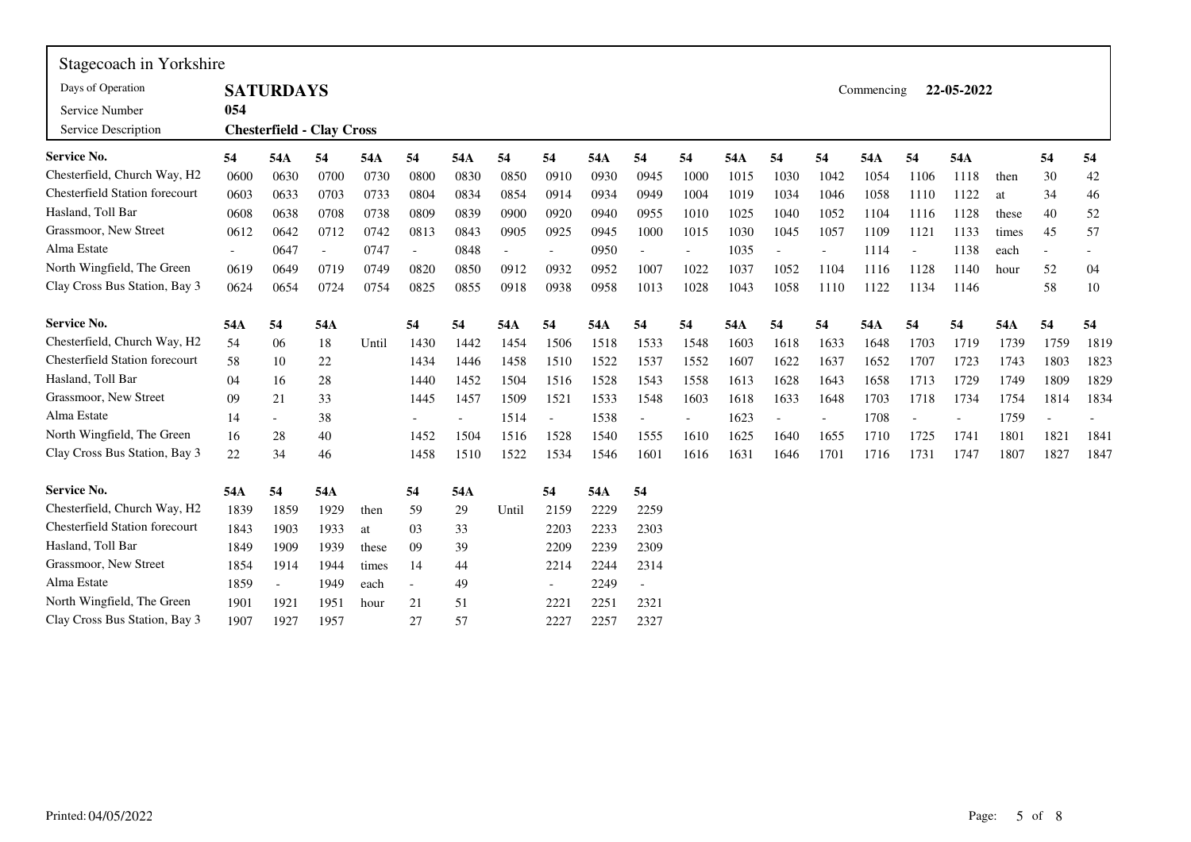| Stagecoach in Yorkshire               |        |                                  |                          |       |                          |                          |                          |                          |      |      |                          |      |                          |                          |            |        |                          |       |                          |      |
|---------------------------------------|--------|----------------------------------|--------------------------|-------|--------------------------|--------------------------|--------------------------|--------------------------|------|------|--------------------------|------|--------------------------|--------------------------|------------|--------|--------------------------|-------|--------------------------|------|
| Days of Operation                     |        | <b>SATURDAYS</b>                 |                          |       |                          |                          |                          |                          |      |      |                          |      |                          |                          | Commencing |        | 22-05-2022               |       |                          |      |
| Service Number                        | 054    |                                  |                          |       |                          |                          |                          |                          |      |      |                          |      |                          |                          |            |        |                          |       |                          |      |
| Service Description                   |        | <b>Chesterfield - Clay Cross</b> |                          |       |                          |                          |                          |                          |      |      |                          |      |                          |                          |            |        |                          |       |                          |      |
| <b>Service No.</b>                    | 54     | 54A                              | 54                       | 54A   | 54                       | 54A                      | 54                       | 54                       | 54A  | 54   | 54                       | 54A  | 54                       | 54                       | 54A        | 54     | 54A                      |       | 54                       | 54   |
| Chesterfield, Church Way, H2          | 0600   | 0630                             | 0700                     | 0730  | 0800                     | 0830                     | 0850                     | 0910                     | 0930 | 0945 | 1000                     | 1015 | 1030                     | 1042                     | 1054       | 1106   | 1118                     | then  | 30                       | 42   |
| <b>Chesterfield Station forecourt</b> | 0603   | 0633                             | 0703                     | 0733  | 0804                     | 0834                     | 0854                     | 0914                     | 0934 | 0949 | 1004                     | 1019 | 1034                     | 1046                     | 1058       | 1110   | 1122                     | at    | 34                       | 46   |
| Hasland, Toll Bar                     | 0608   | 0638                             | 0708                     | 0738  | 0809                     | 0839                     | 0900                     | 0920                     | 0940 | 0955 | 1010                     | 1025 | 1040                     | 1052                     | 1104       | 1116   | 1128                     | these | 40                       | 52   |
| Grassmoor, New Street                 | 0612   | 0642                             | 0712                     | 0742  | 0813                     | 0843                     | 0905                     | 0925                     | 0945 | 1000 | 1015                     | 1030 | 1045                     | 1057                     | 1109       | 1121   | 1133                     | times | 45                       | 57   |
| Alma Estate                           | $\sim$ | 0647                             | $\overline{\phantom{a}}$ | 0747  | $\overline{\phantom{a}}$ | 0848                     | $\overline{\phantom{a}}$ | $\overline{\phantom{a}}$ | 0950 |      | $\overline{\phantom{a}}$ | 1035 | $\overline{\phantom{a}}$ | $\overline{\phantom{a}}$ | 1114       | $\sim$ | 1138                     | each  | $\overline{\phantom{a}}$ |      |
| North Wingfield, The Green            | 0619   | 0649                             | 0719                     | 0749  | 0820                     | 0850                     | 0912                     | 0932                     | 0952 | 1007 | 1022                     | 1037 | 1052                     | 1104                     | 1116       | 1128   | 1140                     | hour  | 52                       | 04   |
| Clay Cross Bus Station, Bay 3         | 0624   | 0654                             | 0724                     | 0754  | 0825                     | 0855                     | 0918                     | 0938                     | 0958 | 1013 | 1028                     | 1043 | 1058                     | 1110                     | 1122       | 1134   | 1146                     |       | 58                       | 10   |
| <b>Service No.</b>                    | 54A    | 54                               | 54A                      |       | 54                       | 54                       | 54A                      | 54                       | 54A  | 54   | 54                       | 54A  | 54                       | 54                       | 54A        | 54     | 54                       | 54A   | 54                       | 54   |
| Chesterfield, Church Way, H2          | 54     | 06                               | 18                       | Until | 1430                     | 1442                     | 1454                     | 1506                     | 1518 | 1533 | 1548                     | 1603 | 1618                     | 1633                     | 1648       | 1703   | 1719                     | 1739  | 1759                     | 1819 |
| <b>Chesterfield Station forecourt</b> | 58     | 10                               | $22\,$                   |       | 1434                     | 1446                     | 1458                     | 1510                     | 1522 | 1537 | 1552                     | 1607 | 1622                     | 1637                     | 1652       | 1707   | 1723                     | 1743  | 1803                     | 1823 |
| Hasland, Toll Bar                     | 04     | 16                               | 28                       |       | 1440                     | 1452                     | 1504                     | 1516                     | 1528 | 1543 | 1558                     | 1613 | 1628                     | 1643                     | 1658       | 1713   | 1729                     | 1749  | 1809                     | 1829 |
| Grassmoor, New Street                 | 09     | 21                               | 33                       |       | 1445                     | 1457                     | 1509                     | 1521                     | 1533 | 1548 | 1603                     | 1618 | 1633                     | 1648                     | 1703       | 1718   | 1734                     | 1754  | 1814                     | 1834 |
| Alma Estate                           | 14     | $ \,$                            | 38                       |       |                          | $\overline{\phantom{a}}$ | 1514                     | $\overline{\phantom{a}}$ | 1538 |      | $\blacksquare$           | 1623 |                          |                          | 1708       |        | $\overline{\phantom{0}}$ | 1759  |                          |      |
| North Wingfield, The Green            | 16     | 28                               | 40                       |       | 1452                     | 1504                     | 1516                     | 1528                     | 1540 | 1555 | 1610                     | 1625 | 1640                     | 1655                     | 1710       | 1725   | 1741                     | 1801  | 1821                     | 1841 |
| Clay Cross Bus Station, Bay 3         | 22     | 34                               | 46                       |       | 1458                     | 1510                     | 1522                     | 1534                     | 1546 | 1601 | 1616                     | 1631 | 1646                     | 1701                     | 1716       | 1731   | 1747                     | 1807  | 1827                     | 1847 |
| Service No.                           | 54A    | 54                               | 54A                      |       | 54                       | 54A                      |                          | 54                       | 54A  | 54   |                          |      |                          |                          |            |        |                          |       |                          |      |
| Chesterfield, Church Way, H2          | 1839   | 1859                             | 1929                     | then  | 59                       | 29                       | Until                    | 2159                     | 2229 | 2259 |                          |      |                          |                          |            |        |                          |       |                          |      |
| <b>Chesterfield Station forecourt</b> | 1843   | 1903                             | 1933                     | at    | 03                       | 33                       |                          | 2203                     | 2233 | 2303 |                          |      |                          |                          |            |        |                          |       |                          |      |
| Hasland, Toll Bar                     | 1849   | 1909                             | 1939                     | these | 09                       | 39                       |                          | 2209                     | 2239 | 2309 |                          |      |                          |                          |            |        |                          |       |                          |      |
| Grassmoor, New Street                 | 1854   | 1914                             | 1944                     | times | 14                       | 44                       |                          | 2214                     | 2244 | 2314 |                          |      |                          |                          |            |        |                          |       |                          |      |
| Alma Estate                           | 1859   |                                  | 1949                     | each  |                          | 49                       |                          | $\overline{\phantom{a}}$ | 2249 |      |                          |      |                          |                          |            |        |                          |       |                          |      |
| North Wingfield, The Green            | 1901   | 1921                             | 1951                     | hour  | 21                       | 51                       |                          | 2221                     | 2251 | 2321 |                          |      |                          |                          |            |        |                          |       |                          |      |
| Clay Cross Bus Station, Bay 3         | 1907   | 1927                             | 1957                     |       | 27                       | 57                       |                          | 2227                     | 2257 | 2327 |                          |      |                          |                          |            |        |                          |       |                          |      |

 $\overline{\phantom{0}}$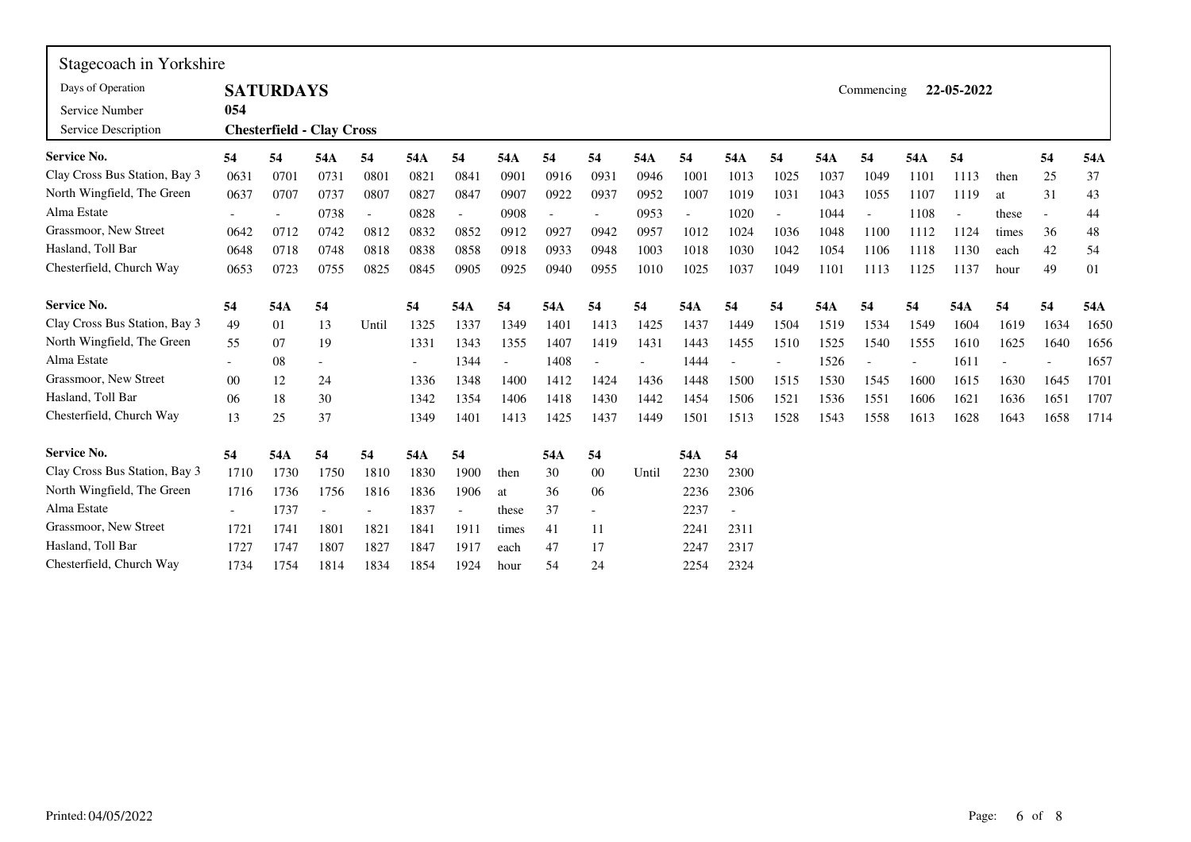| Stagecoach in Yorkshire       |        |                  |                                  |       |      |      |                          |      |      |       |      |                          |      |      |            |      |            |       |                          |      |
|-------------------------------|--------|------------------|----------------------------------|-------|------|------|--------------------------|------|------|-------|------|--------------------------|------|------|------------|------|------------|-------|--------------------------|------|
| Days of Operation             |        | <b>SATURDAYS</b> |                                  |       |      |      |                          |      |      |       |      |                          |      |      | Commencing |      | 22-05-2022 |       |                          |      |
| Service Number                | 054    |                  |                                  |       |      |      |                          |      |      |       |      |                          |      |      |            |      |            |       |                          |      |
| Service Description           |        |                  | <b>Chesterfield - Clay Cross</b> |       |      |      |                          |      |      |       |      |                          |      |      |            |      |            |       |                          |      |
| <b>Service No.</b>            | 54     | 54               | 54A                              | 54    | 54A  | 54   | 54A                      | 54   | 54   | 54A   | 54   | 54A                      | 54   | 54A  | 54         | 54A  | 54         |       | 54                       | 54A  |
| Clay Cross Bus Station, Bay 3 | 0631   | 0701             | 0731                             | 0801  | 0821 | 0841 | 0901                     | 0916 | 0931 | 0946  | 1001 | 1013                     | 1025 | 1037 | 1049       | 1101 | 1113       | then  | 25                       | 37   |
| North Wingfield, The Green    | 0637   | 0707             | 0737                             | 0807  | 0827 | 0847 | 0907                     | 0922 | 0937 | 0952  | 1007 | 1019                     | 1031 | 1043 | 1055       | 1107 | 1119       | at    | 31                       | 43   |
| Alma Estate                   |        |                  | 0738                             |       | 0828 |      | 0908                     |      |      | 0953  |      | 1020                     |      | 1044 |            | 1108 | ÷,         | these | $\overline{\phantom{a}}$ | 44   |
| Grassmoor, New Street         | 0642   | 0712             | 0742                             | 0812  | 0832 | 0852 | 0912                     | 0927 | 0942 | 0957  | 1012 | 1024                     | 1036 | 1048 | 1100       | 1112 | 1124       | times | 36                       | 48   |
| Hasland, Toll Bar             | 0648   | 0718             | 0748                             | 0818  | 0838 | 0858 | 0918                     | 0933 | 0948 | 1003  | 1018 | 1030                     | 1042 | 1054 | 1106       | 1118 | 1130       | each  | 42                       | 54   |
| Chesterfield, Church Way      | 0653   | 0723             | 0755                             | 0825  | 0845 | 0905 | 0925                     | 0940 | 0955 | 1010  | 1025 | 1037                     | 1049 | 1101 | 1113       | 1125 | 1137       | hour  | 49                       | 01   |
| <b>Service No.</b>            | 54     | 54A              | 54                               |       | 54   | 54A  | 54                       | 54A  | 54   | 54    | 54A  | 54                       | 54   | 54A  | 54         | 54   | 54A        | 54    | 54                       | 54A  |
| Clay Cross Bus Station, Bay 3 | 49     | 01               | 13                               | Until | 1325 | 1337 | 1349                     | 1401 | 1413 | 1425  | 1437 | 1449                     | 1504 | 1519 | 1534       | 1549 | 1604       | 1619  | 1634                     | 1650 |
| North Wingfield, The Green    | 55     | 07               | 19                               |       | 1331 | 1343 | 1355                     | 1407 | 1419 | 1431  | 1443 | 1455                     | 1510 | 1525 | 1540       | 1555 | 1610       | 1625  | 1640                     | 1656 |
| Alma Estate                   |        | 08               |                                  |       |      | 1344 | $\overline{\phantom{a}}$ | 1408 |      |       | 1444 | $\overline{a}$           |      | 1526 |            |      | 1611       |       |                          | 1657 |
| Grassmoor, New Street         | $00\,$ | 12               | 24                               |       | 1336 | 1348 | 1400                     | 1412 | 1424 | 1436  | 1448 | 1500                     | 1515 | 1530 | 1545       | 1600 | 1615       | 1630  | 1645                     | 1701 |
| Hasland, Toll Bar             | 06     | 18               | 30                               |       | 1342 | 1354 | 1406                     | 1418 | 1430 | 1442  | 1454 | 1506                     | 1521 | 1536 | 1551       | 1606 | 1621       | 1636  | 1651                     | 1707 |
| Chesterfield, Church Way      | 13     | 25               | 37                               |       | 1349 | 1401 | 1413                     | 1425 | 1437 | 1449  | 1501 | 1513                     | 1528 | 1543 | 1558       | 1613 | 1628       | 1643  | 1658                     | 1714 |
| Service No.                   | 54     | 54A              | 54                               | 54    | 54A  | 54   |                          | 54A  | 54   |       | 54A  | 54                       |      |      |            |      |            |       |                          |      |
| Clay Cross Bus Station, Bay 3 | 1710   | 1730             | 1750                             | 1810  | 1830 | 1900 | then                     | 30   | 00   | Until | 2230 | 2300                     |      |      |            |      |            |       |                          |      |
| North Wingfield, The Green    | 1716   | 1736             | 1756                             | 1816  | 1836 | 1906 | at                       | 36   | 06   |       | 2236 | 2306                     |      |      |            |      |            |       |                          |      |
| Alma Estate                   |        | 1737             |                                  |       | 1837 |      | these                    | 37   |      |       | 2237 | $\overline{\phantom{a}}$ |      |      |            |      |            |       |                          |      |
| Grassmoor, New Street         | 1721   | 1741             | 1801                             | 1821  | 1841 | 1911 | times                    | 41   | 11   |       | 2241 | 2311                     |      |      |            |      |            |       |                          |      |
| Hasland, Toll Bar             | 1727   | 1747             | 1807                             | 1827  | 1847 | 1917 | each                     | 47   | 17   |       | 2247 | 2317                     |      |      |            |      |            |       |                          |      |
| Chesterfield, Church Way      | 1734   | 1754             | 1814                             | 1834  | 1854 | 1924 | hour                     | 54   | 24   |       | 2254 | 2324                     |      |      |            |      |            |       |                          |      |

 $\blacksquare$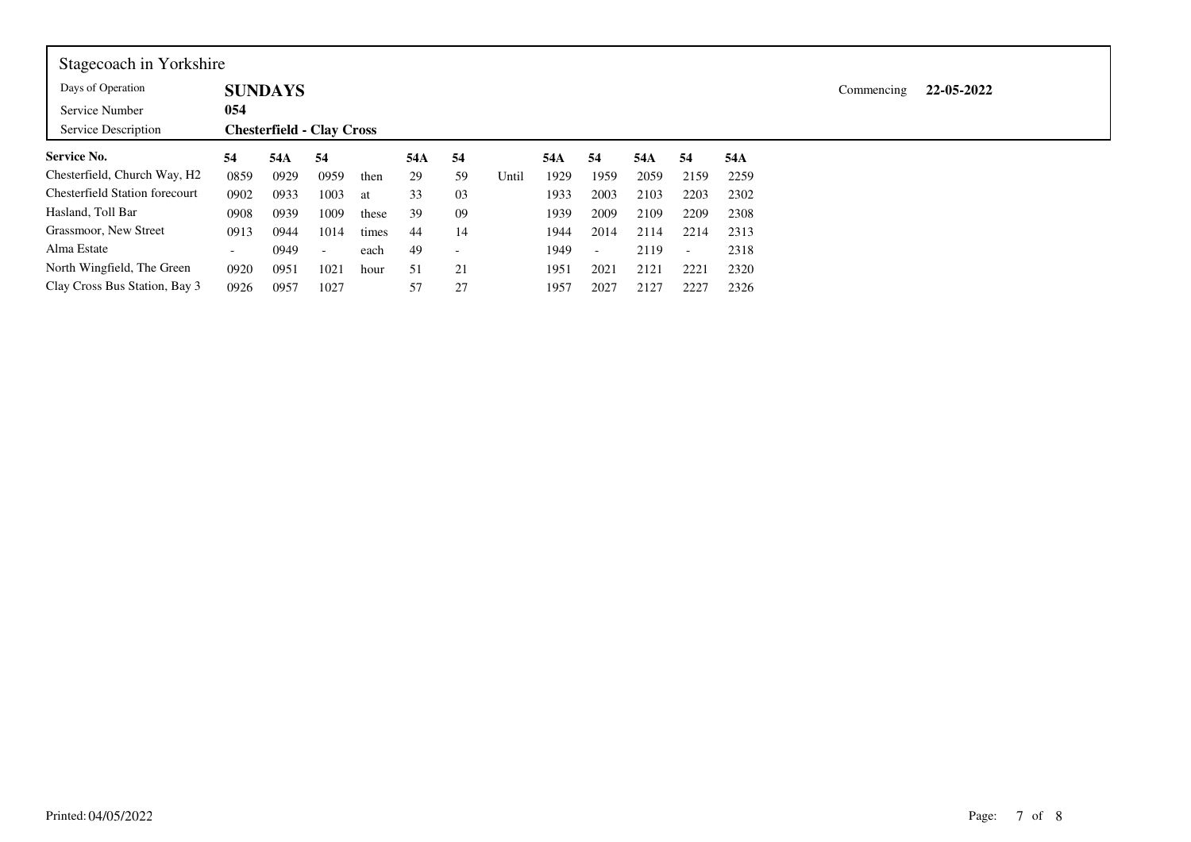| Stagecoach in Yorkshire                  |                          |                                  |                          |       |     |    |       |      |                          |      |                          |      |            |            |
|------------------------------------------|--------------------------|----------------------------------|--------------------------|-------|-----|----|-------|------|--------------------------|------|--------------------------|------|------------|------------|
| Days of Operation                        |                          | <b>SUNDAYS</b>                   |                          |       |     |    |       |      |                          |      |                          |      | Commencing | 22-05-2022 |
| Service Number                           | 054                      |                                  |                          |       |     |    |       |      |                          |      |                          |      |            |            |
| Service Description                      |                          | <b>Chesterfield - Clay Cross</b> |                          |       |     |    |       |      |                          |      |                          |      |            |            |
| <b>Service No.</b>                       | 54                       | 54A                              | 54                       |       | 54A | 54 |       | 54A  | 54                       | 54A  | 54                       | 54A  |            |            |
| Chesterfield, Church Way, H <sub>2</sub> | 0859                     | 0929                             | 0959                     | then  | 29  | 59 | Until | 1929 | 1959                     | 2059 | 2159                     | 2259 |            |            |
| <b>Chesterfield Station forecourt</b>    | 0902                     | 0933                             | 1003                     | at    | 33  | 03 |       | 1933 | 2003                     | 2103 | 2203                     | 2302 |            |            |
| Hasland, Toll Bar                        | 0908                     | 0939                             | 1009                     | these | 39  | 09 |       | 1939 | 2009                     | 2109 | 2209                     | 2308 |            |            |
| Grassmoor, New Street                    | 0913                     | 0944                             | 1014                     | times | 44  | 14 |       | 1944 | 2014                     | 2114 | 2214                     | 2313 |            |            |
| Alma Estate                              | $\overline{\phantom{0}}$ | 0949                             | $\overline{\phantom{a}}$ | each  | 49  |    |       | 1949 | $\overline{\phantom{a}}$ | 2119 | $\overline{\phantom{0}}$ | 2318 |            |            |
| North Wingfield, The Green               | 0920                     | 0951                             | 1021                     | hour  | 51  | 21 |       | 1951 | 2021                     | 2121 | 2221                     | 2320 |            |            |
| Clay Cross Bus Station, Bay 3            | 0926                     | 0957                             | 1027                     |       | 57  | 27 |       | 1957 | 2027                     | 2127 | 2227                     | 2326 |            |            |

г

┑